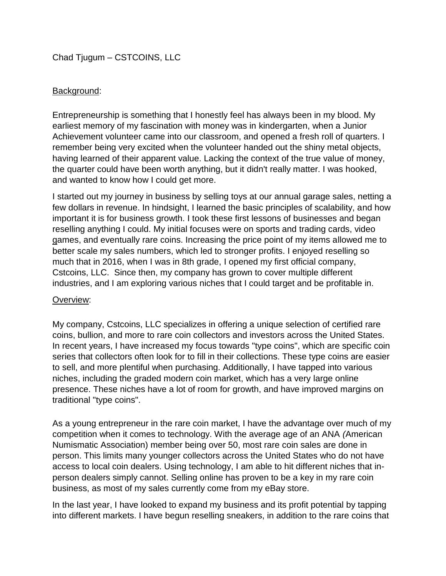Chad Tjugum – CSTCOINS, LLC

## Background:

Entrepreneurship is something that I honestly feel has always been in my blood. My earliest memory of my fascination with money was in kindergarten, when a Junior Achievement volunteer came into our classroom, and opened a fresh roll of quarters. I remember being very excited when the volunteer handed out the shiny metal objects, having learned of their apparent value. Lacking the context of the true value of money, the quarter could have been worth anything, but it didn't really matter. I was hooked, and wanted to know how I could get more.

I started out my journey in business by selling toys at our annual garage sales, netting a few dollars in revenue. In hindsight, I learned the basic principles of scalability, and how important it is for business growth. I took these first lessons of businesses and began reselling anything I could. My initial focuses were on sports and trading cards, video games, and eventually rare coins. Increasing the price point of my items allowed me to better scale my sales numbers, which led to stronger profits. I enjoyed reselling so much that in 2016, when I was in 8th grade, I opened my first official company, Cstcoins, LLC. Since then, my company has grown to cover multiple different industries, and I am exploring various niches that I could target and be profitable in.

## Overview:

My company, Cstcoins, LLC specializes in offering a unique selection of certified rare coins, bullion, and more to rare coin collectors and investors across the United States. In recent years, I have increased my focus towards "type coins", which are specific coin series that collectors often look for to fill in their collections. These type coins are easier to sell, and more plentiful when purchasing. Additionally, I have tapped into various niches, including the graded modern coin market, which has a very large online presence. These niches have a lot of room for growth, and have improved margins on traditional "type coins".

As a young entrepreneur in the rare coin market, I have the advantage over much of my competition when it comes to technology. With the average age of an ANA *(*American Numismatic Association) member being over 50, most rare coin sales are done in person. This limits many younger collectors across the United States who do not have access to local coin dealers. Using technology, I am able to hit different niches that inperson dealers simply cannot. Selling online has proven to be a key in my rare coin business, as most of my sales currently come from my eBay store.

In the last year, I have looked to expand my business and its profit potential by tapping into different markets. I have begun reselling sneakers, in addition to the rare coins that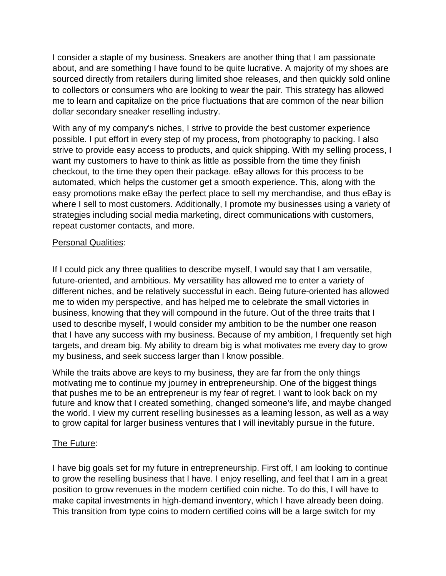I consider a staple of my business. Sneakers are another thing that I am passionate about, and are something I have found to be quite lucrative. A majority of my shoes are sourced directly from retailers during limited shoe releases, and then quickly sold online to collectors or consumers who are looking to wear the pair. This strategy has allowed me to learn and capitalize on the price fluctuations that are common of the near billion dollar secondary sneaker reselling industry.

With any of my company's niches, I strive to provide the best customer experience possible. I put effort in every step of my process, from photography to packing. I also strive to provide easy access to products, and quick shipping. With my selling process, I want my customers to have to think as little as possible from the time they finish checkout, to the time they open their package. eBay allows for this process to be automated, which helps the customer get a smooth experience. This, along with the easy promotions make eBay the perfect place to sell my merchandise, and thus eBay is where I sell to most customers. Additionally, I promote my businesses using a variety of strategies including social media marketing, direct communications with customers, repeat customer contacts, and more.

## Personal Qualities:

If I could pick any three qualities to describe myself, I would say that I am versatile, future-oriented, and ambitious. My versatility has allowed me to enter a variety of different niches, and be relatively successful in each. Being future-oriented has allowed me to widen my perspective, and has helped me to celebrate the small victories in business, knowing that they will compound in the future. Out of the three traits that I used to describe myself, I would consider my ambition to be the number one reason that I have any success with my business. Because of my ambition, I frequently set high targets, and dream big. My ability to dream big is what motivates me every day to grow my business, and seek success larger than I know possible.

While the traits above are keys to my business, they are far from the only things motivating me to continue my journey in entrepreneurship. One of the biggest things that pushes me to be an entrepreneur is my fear of regret. I want to look back on my future and know that I created something, changed someone's life, and maybe changed the world. I view my current reselling businesses as a learning lesson, as well as a way to grow capital for larger business ventures that I will inevitably pursue in the future.

## The Future:

I have big goals set for my future in entrepreneurship. First off, I am looking to continue to grow the reselling business that I have. I enjoy reselling, and feel that I am in a great position to grow revenues in the modern certified coin niche. To do this, I will have to make capital investments in high-demand inventory, which I have already been doing. This transition from type coins to modern certified coins will be a large switch for my